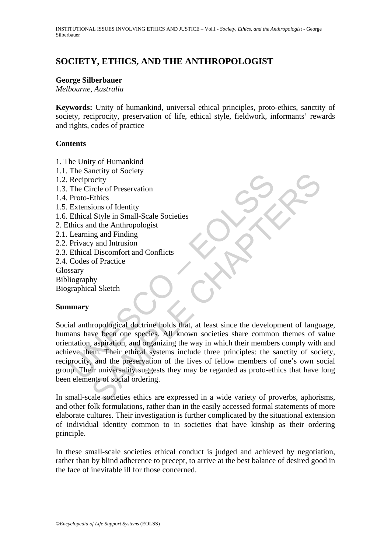# **SOCIETY, ETHICS, AND THE ANTHROPOLOGIST**

#### **George Silberbauer**

*Melbourne, Australia* 

**Keywords:** Unity of humankind, universal ethical principles, proto-ethics, sanctity of society, reciprocity, preservation of life, ethical style, fieldwork, informants' rewards and rights, codes of practice

### **Contents**

- 1. The Unity of Humankind
- 1.1. The Sanctity of Society
- 1.2. Reciprocity
- 1.3. The Circle of Preservation
- 1.4. Proto-Ethics
- 1.5. Extensions of Identity
- 1.6. Ethical Style in Small-Scale Societies
- 2. Ethics and the Anthropologist
- 2.1. Learning and Finding
- 2.2. Privacy and Intrusion
- 2.3. Ethical Discomfort and Conflicts
- 2.4. Codes of Practice

Glossary

- Bibliography
- Biographical Sketch

### **Summary**

Reciprocity<br>
Reciprocity<br>
The Circle of Preservation<br>
Proto-Ethics<br>
Extensions of Identity<br>
Extensions of Identity<br>
thicas and the Anthropologist<br>
Learning and Finding<br>
Learning and Finding<br>
Privacy and Intrusion<br>
Ethical Mother of Preservation<br>
Cocity<br>
Society<br>
Scribts of Preservation<br>
Shall shall Scale Societies<br>
All Shay and Finding<br>
and Finding<br>
and Intrusion<br>
of Practice<br>
of Practice<br>
My<br>
all Sketch<br>
My<br>
all Sketch<br>
My<br>
all Sketch<br>
All Social anthropological doctrine holds that, at least since the development of language, humans have been one species. All known societies share common themes of value orientation, aspiration, and organizing the way in which their members comply with and achieve them. Their ethical systems include three principles: the sanctity of society, reciprocity, and the preservation of the lives of fellow members of one's own social group. Their universality suggests they may be regarded as proto-ethics that have long been elements of social ordering.

In small-scale societies ethics are expressed in a wide variety of proverbs, aphorisms, and other folk formulations, rather than in the easily accessed formal statements of more elaborate cultures. Their investigation is further complicated by the situational extension of individual identity common to in societies that have kinship as their ordering principle.

In these small-scale societies ethical conduct is judged and achieved by negotiation, rather than by blind adherence to precept, to arrive at the best balance of desired good in the face of inevitable ill for those concerned.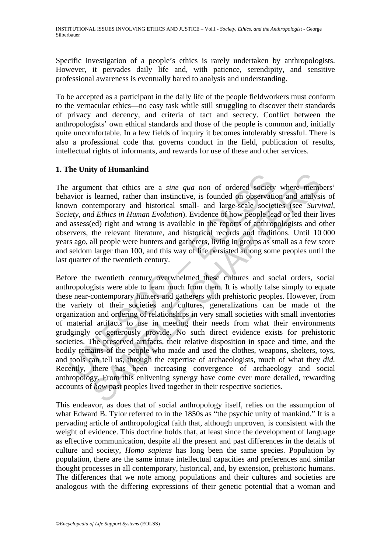Specific investigation of a people's ethics is rarely undertaken by anthropologists. However, it pervades daily life and, with patience, serendipity, and sensitive professional awareness is eventually bared to analysis and understanding.

To be accepted as a participant in the daily life of the people fieldworkers must conform to the vernacular ethics—no easy task while still struggling to discover their standards of privacy and decency, and criteria of tact and secrecy. Conflict between the anthropologists' own ethical standards and those of the people is common and, initially quite uncomfortable. In a few fields of inquiry it becomes intolerably stressful. There is also a professional code that governs conduct in the field, publication of results, intellectual rights of informants, and rewards for use of these and other services.

# **1. The Unity of Humankind**

The argument that ethics are a *sine qua non* of ordered society where members' behavior is learned, rather than instinctive, is founded on observation and analysis of known contemporary and historical small- and large-scale societies (see *Survival, Society, and Ethics in Human Evolution*). Evidence of how people lead or led their lives and assess(ed) right and wrong is available in the reports of anthropologists and other observers, the relevant literature, and historical records and traditions. Until 10 000 years ago, all people were hunters and gatherers, living in groups as small as a few score and seldom larger than 100, and this way of life persisted among some peoples until the last quarter of the twentieth century.

argument that ethics are a *sine qua non* of ordered society<br>wivor is learned, rather than instinctive, is founded on observative<br>wivo contemporary and historical small- and large-scale societe<br>tery, *and Ethics in Human E* From that ethics are a *sine qua non* of ordered society where members learned, rather than instinctive, is founded on observation and analysitemprorary and historical small- and large-scale societies (see *Surva d Ethics* Before the twentieth century overwhelmed these cultures and social orders, social anthropologists were able to learn much from them. It is wholly false simply to equate these near-contemporary hunters and gatherers with prehistoric peoples. However, from the variety of their societies and cultures, generalizations can be made of the organization and ordering of relationships in very small societies with small inventories of material artifacts to use in meeting their needs from what their environments grudgingly or generously provide. No such direct evidence exists for prehistoric societies. The preserved artifacts, their relative disposition in space and time, and the bodily remains of the people who made and used the clothes, weapons, shelters, toys, and tools can tell us, through the expertise of archaeologists, much of what they *did.* Recently, there has been increasing convergence of archaeology and social anthropology. From this enlivening synergy have come ever more detailed, rewarding accounts of *how* past peoples lived together in their respective societies.

This endeavor, as does that of social anthropology itself, relies on the assumption of what Edward B. Tylor referred to in the 1850s as "the psychic unity of mankind." It is a pervading article of anthropological faith that, although unproven, is consistent with the weight of evidence. This doctrine holds that, at least since the development of language as effective communication, despite all the present and past differences in the details of culture and society, *Homo sapiens* has long been the same species. Population by population, there are the same innate intellectual capacities and preferences and similar thought processes in all contemporary, historical, and, by extension, prehistoric humans. The differences that we note among populations and their cultures and societies are analogous with the differing expressions of their genetic potential that a woman and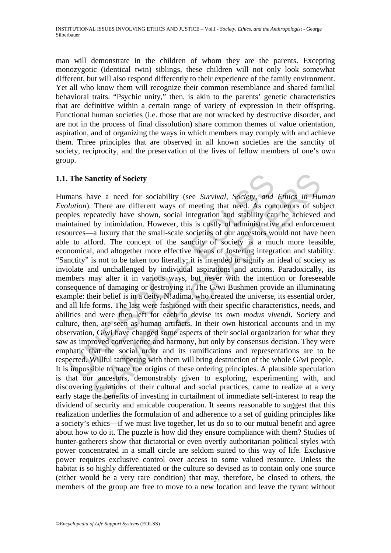man will demonstrate in the children of whom they are the parents. Excepting monozygotic (identical twin) siblings, these children will not only look somewhat different, but will also respond differently to their experience of the family environment. Yet all who know them will recognize their common resemblance and shared familial behavioral traits. "Psychic unity," then, is akin to the parents' genetic characteristics that are definitive within a certain range of variety of expression in their offspring. Functional human societies (i.e. those that are not wracked by destructive disorder, and are not in the process of final dissolution) share common themes of value orientation, aspiration, and of organizing the ways in which members may comply with and achieve them. Three principles that are observed in all known societies are the sanctity of society, reciprocity, and the preservation of the lives of fellow members of one's own group.

# **1.1. The Sanctity of Society**

The Sanctity of Society<br>nans have a need for sociability (see *Survival*, *Society*, *and*<br>*lution*). There are different ways of meeting that need. As con-<br>ples repeatedly have shown, social integration and stability can**anctity of Society**<br>ave a need for sociability (see *Survival*, *Society*, and *Ethics in Hu*. There are different ways of meeting that need. As conquerors of sut<br>peatedly have shown, social integration and stability can Humans have a need for sociability (see *Survival, Society, and Ethics in Human Evolution*). There are different ways of meeting that need. As conquerors of subject peoples repeatedly have shown, social integration and stability can be achieved and maintained by intimidation. However, this is costly of administrative and enforcement resources—a luxury that the small-scale societies of our ancestors would not have been able to afford. The concept of the sanctity of society is a much more feasible, economical, and altogether more effective means of fostering integration and stability. "Sanctity" is not to be taken too literally; it is intended to signify an ideal of society as inviolate and unchallenged by individual aspirations and actions. Paradoxically, its members may alter it in various ways, but never with the intention or foreseeable consequence of damaging or destroying it. The G/wi Bushmen provide an illuminating example: their belief is in a deity, N!adima, who created the universe, its essential order, and all life forms. The last were fashioned with their specific characteristics, needs, and abilities and were then left for each to devise its own *modus vivendi.* Society and culture, then, are seen as human artifacts. In their own historical accounts and in my observation, G/wi have changed some aspects of their social organization for what they saw as improved convenience and harmony, but only by consensus decision. They were emphatic that the social order and its ramifications and representations are to be respected. Willful tampering with them will bring destruction of the whole G/wi people. It is impossible to trace the origins of these ordering principles. A plausible speculation is that our ancestors, demonstrably given to exploring, experimenting with, and discovering variations of their cultural and social practices, came to realize at a very early stage the benefits of investing in curtailment of immediate self-interest to reap the dividend of security and amicable cooperation. It seems reasonable to suggest that this realization underlies the formulation of and adherence to a set of guiding principles like a society's ethics—if we must live together, let us do so to our mutual benefit and agree about how to do it. The puzzle is how did they ensure compliance with them? Studies of hunter-gatherers show that dictatorial or even overtly authoritarian political styles with power concentrated in a small circle are seldom suited to this way of life. Exclusive power requires exclusive control over access to some valued resource. Unless the habitat is so highly differentiated or the culture so devised as to contain only one source (either would be a very rare condition) that may, therefore, be closed to others, the members of the group are free to move to a new location and leave the tyrant without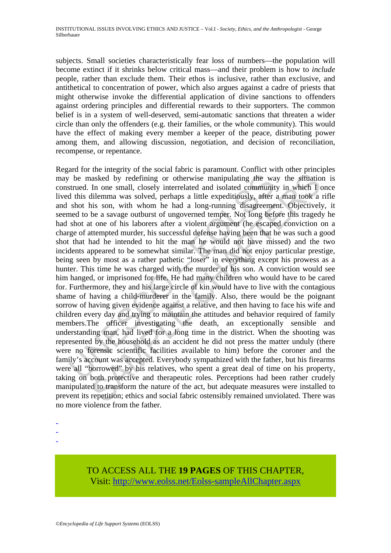subjects. Small societies characteristically fear loss of numbers—the population will become extinct if it shrinks below critical mass—and their problem is how to *include* people, rather than exclude them. Their ethos is inclusive, rather than exclusive, and antithetical to concentration of power, which also argues against a cadre of priests that might otherwise invoke the differential application of divine sanctions to offenders against ordering principles and differential rewards to their supporters. The common belief is in a system of well-deserved, semi-automatic sanctions that threaten a wider circle than only the offenders (e.g. their families, or the whole community). This would have the effect of making every member a keeper of the peace, distributing power among them, and allowing discussion, negotiation, and decision of reconciliation, recompense, or repentance.

be masked by redefining or otherwise manipulating the was strued. In one small, closely interrelated and isolated communit d this dilemma was solved, perhaps a little expeditiously, after shot his son, with whom he had a asked by redefining or otherwise manipulating the way the situatio In one small, closely interrelated and isolated community in which I dilumena was solved, perhaps a little expeditiously, after a man took a little insiss Regard for the integrity of the social fabric is paramount. Conflict with other principles may be masked by redefining or otherwise manipulating the way the situation is construed. In one small, closely interrelated and isolated community in which I once lived this dilemma was solved, perhaps a little expeditiously, after a man took a rifle and shot his son, with whom he had a long-running disagreement. Objectively, it seemed to be a savage outburst of ungoverned temper. Not long before this tragedy he had shot at one of his laborers after a violent argument (he escaped conviction on a charge of attempted murder, his successful defense having been that he was such a good shot that had he intended to hit the man he would not have missed) and the two incidents appeared to be somewhat similar. The man did not enjoy particular prestige, being seen by most as a rather pathetic "loser" in everything except his prowess as a hunter. This time he was charged with the murder of his son. A conviction would see him hanged, or imprisoned for life. He had many children who would have to be cared for. Furthermore, they and his large circle of kin would have to live with the contagious shame of having a child-murderer in the family. Also, there would be the poignant sorrow of having given evidence against a relative, and then having to face his wife and children every day and trying to maintain the attitudes and behavior required of family members.The officer investigating the death, an exceptionally sensible and understanding man, had lived for a long time in the district. When the shooting was represented by the household as an accident he did not press the matter unduly (there were no forensic scientific facilities available to him) before the coroner and the family's account was accepted. Everybody sympathized with the father, but his firearms were all "borrowed" by his relatives, who spent a great deal of time on his property, taking on both protective and therapeutic roles. Perceptions had been rather crudely manipulated to transform the nature of the act, but adequate measures were installed to prevent its repetition; ethics and social fabric ostensibly remained unviolated. There was no more violence from the father.

- -
- -
- -

# TO ACCESS ALL THE **19 PAGES** OF THIS CHAPTER, Visit: [http://www.eolss.net/Eolss-sampleAllChapter.aspx](https://www.eolss.net/ebooklib/sc_cart.aspx?File=E1-37-01-02)